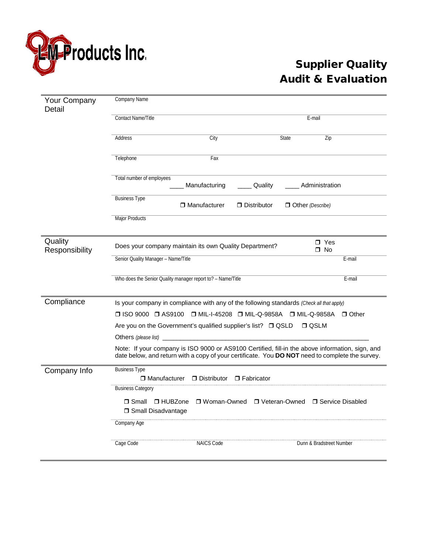

| <b>Your Company</b><br>Detail | Company Name                                                                                  |                                                             |                    |                                                                                                                                                                                                    |  |
|-------------------------------|-----------------------------------------------------------------------------------------------|-------------------------------------------------------------|--------------------|----------------------------------------------------------------------------------------------------------------------------------------------------------------------------------------------------|--|
|                               | Contact Name/Title                                                                            |                                                             | E-mail             |                                                                                                                                                                                                    |  |
|                               | <b>Address</b>                                                                                | City                                                        | State              | Zip                                                                                                                                                                                                |  |
|                               | Telephone                                                                                     | Fax                                                         |                    |                                                                                                                                                                                                    |  |
|                               | Total number of employees                                                                     | Manufacturing                                               | Quality            | Administration                                                                                                                                                                                     |  |
|                               | <b>Business Type</b>                                                                          | □ Manufacturer                                              | $\Box$ Distributor | □ Other (Describe)                                                                                                                                                                                 |  |
|                               | <b>Major Products</b>                                                                         |                                                             |                    |                                                                                                                                                                                                    |  |
| Quality<br>Responsibility     |                                                                                               | Does your company maintain its own Quality Department?      |                    | $\Box$ Yes<br>$\Box$ No                                                                                                                                                                            |  |
|                               | Senior Quality Manager - Name/Title                                                           |                                                             |                    | E-mail                                                                                                                                                                                             |  |
|                               |                                                                                               | Who does the Senior Quality manager report to? - Name/Title |                    | E-mail                                                                                                                                                                                             |  |
| Compliance                    | Is your company in compliance with any of the following standards (Check all that apply)      |                                                             |                    |                                                                                                                                                                                                    |  |
|                               | $\Box$ ISO 9000 $\Box$ AS9100<br>□ MIL-I-45208 □ MIL-Q-9858A<br>□ MIL-Q-9858A<br>$\Box$ Other |                                                             |                    |                                                                                                                                                                                                    |  |
|                               | Are you on the Government's qualified supplier's list? □ QSLD<br>$\Box$ QSLM                  |                                                             |                    |                                                                                                                                                                                                    |  |
|                               |                                                                                               |                                                             |                    |                                                                                                                                                                                                    |  |
|                               |                                                                                               |                                                             |                    | Note: If your company is ISO 9000 or AS9100 Certified, fill-in the above information, sign, and<br>date below, and return with a copy of your certificate. You DO NOT need to complete the survey. |  |
| Company Info                  | <b>Business Type</b><br>□ Manufacturer                                                        | □ Distributor □ Fabricator                                  |                    |                                                                                                                                                                                                    |  |
|                               | <b>Business Category</b>                                                                      |                                                             |                    |                                                                                                                                                                                                    |  |
|                               | □ HUBZone<br>$\Box$ Small<br><b>3</b> Small Disadvantage                                      | □ Woman-Owned                                               |                    | □ Veteran-Owned □ Service Disabled                                                                                                                                                                 |  |
|                               | Company Age                                                                                   |                                                             |                    |                                                                                                                                                                                                    |  |
|                               | Cage Code                                                                                     | <b>NAICS Code</b>                                           |                    | Dunn & Bradstreet Number                                                                                                                                                                           |  |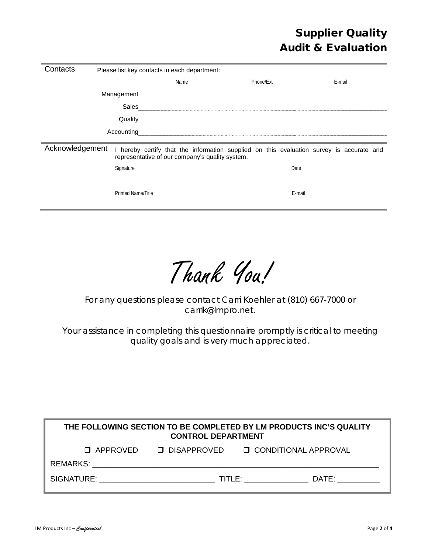| Contacts        | Please list key contacts in each department:                                                                                                |  |           |        |
|-----------------|---------------------------------------------------------------------------------------------------------------------------------------------|--|-----------|--------|
|                 | Name                                                                                                                                        |  | Phone/Ext | E-mail |
|                 | Management                                                                                                                                  |  |           |        |
|                 | Sales                                                                                                                                       |  |           |        |
|                 | Quality                                                                                                                                     |  |           |        |
|                 | Accounting                                                                                                                                  |  |           |        |
| Acknowledgement | I hereby certify that the information supplied on this evaluation survey is accurate and<br>representative of our company's quality system. |  |           |        |
|                 | Signature                                                                                                                                   |  | Date      |        |
|                 | <b>Printed Name/Title</b>                                                                                                                   |  | E-mail    |        |

Thank You!

For any questions please contact Carri Koehler at (810) 667-7000 or carrik@lmpro.net.

Your assistance in completing this questionnaire promptly is critical to meeting quality goals and is very much appreciated.

| THE FOLLOWING SECTION TO BE COMPLETED BY LM PRODUCTS INC'S QUALITY<br><b>CONTROL DEPARTMENT</b> |                   |                                                                                                                       |                               |       |
|-------------------------------------------------------------------------------------------------|-------------------|-----------------------------------------------------------------------------------------------------------------------|-------------------------------|-------|
|                                                                                                 | <b>O</b> APPROVED | □ DISAPPROVED                                                                                                         | <b>D</b> CONDITIONAL APPROVAL |       |
| <b>REMARKS:</b>                                                                                 |                   | <u>and the contract of the contract of the contract of the contract of the contract of the contract of the contra</u> |                               |       |
| SIGNATURE:                                                                                      |                   | <u> 1980 - Jan Barbarat, prima politik politik (</u>                                                                  | TITLE:                        | DATE: |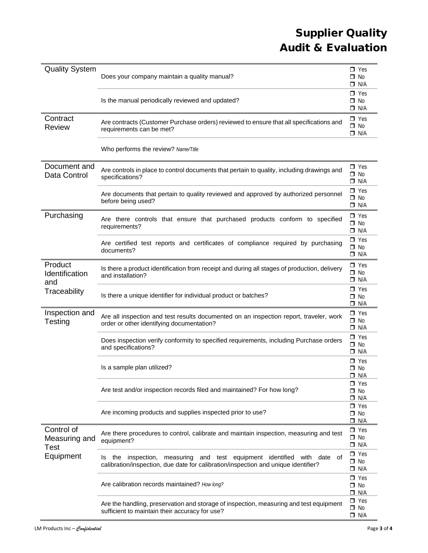| <b>Quality System</b>                            | Does your company maintain a quality manual?                                                                                                                                     |                                       |  |
|--------------------------------------------------|----------------------------------------------------------------------------------------------------------------------------------------------------------------------------------|---------------------------------------|--|
|                                                  | Is the manual periodically reviewed and updated?                                                                                                                                 | $\Box$ Yes<br>$\Box$ No<br>O N/A      |  |
| Contract<br><b>Review</b>                        | Are contracts (Customer Purchase orders) reviewed to ensure that all specifications and<br>requirements can be met?                                                              | $\Box$ Yes<br>$\Box$ No<br>$\Box$ N/A |  |
|                                                  | Who performs the review? Name/Title                                                                                                                                              |                                       |  |
| Document and<br>Data Control                     | Are controls in place to control documents that pertain to quality, including drawings and<br>specifications?                                                                    |                                       |  |
|                                                  | Are documents that pertain to quality reviewed and approved by authorized personnel<br>before being used?                                                                        | $\Box$ Yes<br>$\Box$ No<br>$\Box$ N/A |  |
| Purchasing                                       | Are there controls that ensure that purchased products conform to specified<br>requirements?                                                                                     | $\Box$ Yes<br>$\Box$ No<br>$\Box$ N/A |  |
|                                                  | Are certified test reports and certificates of compliance required by purchasing<br>documents?                                                                                   | $\Box$ Yes<br>$\Box$ No<br>$\Box$ N/A |  |
| Product<br>Identification<br>and<br>Traceability | Is there a product identification from receipt and during all stages of production, delivery<br>and installation?                                                                | $\Box$ Yes<br>$\Box$ No<br>$\Box$ N/A |  |
|                                                  | Is there a unique identifier for individual product or batches?                                                                                                                  | $\Box$ Yes<br>$\Box$ No<br>$\Box$ N/A |  |
| Inspection and<br>Testing                        | Are all inspection and test results documented on an inspection report, traveler, work<br>order or other identifying documentation?                                              | $\Box$ Yes<br>$\Box$ No<br>$\Box$ N/A |  |
|                                                  | Does inspection verify conformity to specified requirements, including Purchase orders<br>and specifications?                                                                    |                                       |  |
|                                                  | Is a sample plan utilized?                                                                                                                                                       | $\Box$ Yes<br>$\Box$ No<br>□ N/A      |  |
|                                                  | Are test and/or inspection records filed and maintained? For how long?                                                                                                           | $\Box$ Yes<br>$\Box$ No<br>$\Box$ N/A |  |
|                                                  | Are incoming products and supplies inspected prior to use?                                                                                                                       | $\Box$ Yes<br>$\Box$ No<br>$\Box$ N/A |  |
| Control of<br>Measuring and<br>Test<br>Equipment | Are there procedures to control, calibrate and maintain inspection, measuring and test<br>equipment?                                                                             |                                       |  |
|                                                  | inspection,<br>measuring<br>and test equipment identified<br>οf<br>the<br>with date<br>ls.<br>calibration/inspection, due date for calibration/inspection and unique identifier? | $\Box$ Yes<br>$\Box$ No<br>$\Box$ N/A |  |
|                                                  | Are calibration records maintained? How long?                                                                                                                                    | $\Box$ Yes<br>$\Box$ No<br>$\Box$ N/A |  |
|                                                  | Are the handling, preservation and storage of inspection, measuring and test equipment<br>sufficient to maintain their accuracy for use?                                         | $\Box$ Yes<br>$\Box$ No<br>$\Box$ N/A |  |